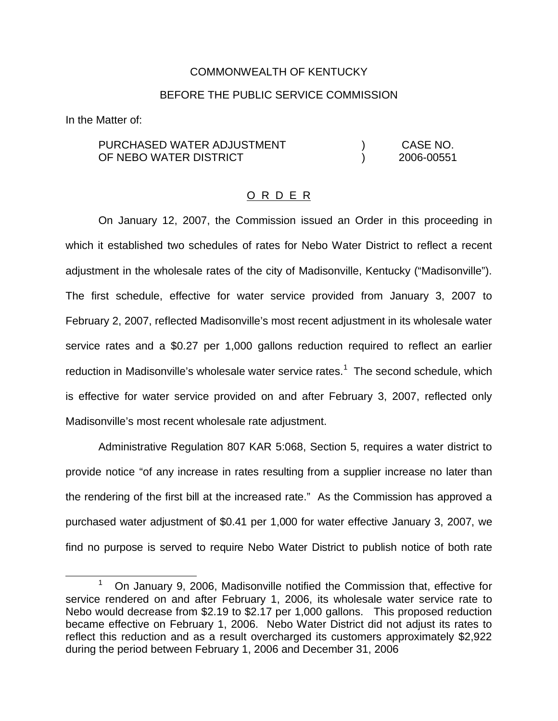## COMMONWEALTH OF KENTUCKY

## BEFORE THE PUBLIC SERVICE COMMISSION

In the Matter of:

PURCHASED WATER ADJUSTMENT OF NEBO WATER DISTRICT ) CASE NO. ) 2006-00551

## O R D E R

On January 12, 2007, the Commission issued an Order in this proceeding in which it established two schedules of rates for Nebo Water District to reflect a recent adjustment in the wholesale rates of the city of Madisonville, Kentucky ("Madisonville"). The first schedule, effective for water service provided from January 3, 2007 to February 2, 2007, reflected Madisonville's most recent adjustment in its wholesale water service rates and a \$0.27 per 1,000 gallons reduction required to reflect an earlier reduction in Madisonville's wholesale water service rates.<sup>1</sup> The second schedule, which is effective for water service provided on and after February 3, 2007, reflected only Madisonville's most recent wholesale rate adjustment.

Administrative Regulation 807 KAR 5:068, Section 5, requires a water district to provide notice "of any increase in rates resulting from a supplier increase no later than the rendering of the first bill at the increased rate." As the Commission has approved a purchased water adjustment of \$0.41 per 1,000 for water effective January 3, 2007, we find no purpose is served to require Nebo Water District to publish notice of both rate

 $1$  On January 9, 2006, Madisonville notified the Commission that, effective for service rendered on and after February 1, 2006, its wholesale water service rate to Nebo would decrease from \$2.19 to \$2.17 per 1,000 gallons. This proposed reduction became effective on February 1, 2006. Nebo Water District did not adjust its rates to reflect this reduction and as a result overcharged its customers approximately \$2,922 during the period between February 1, 2006 and December 31, 2006